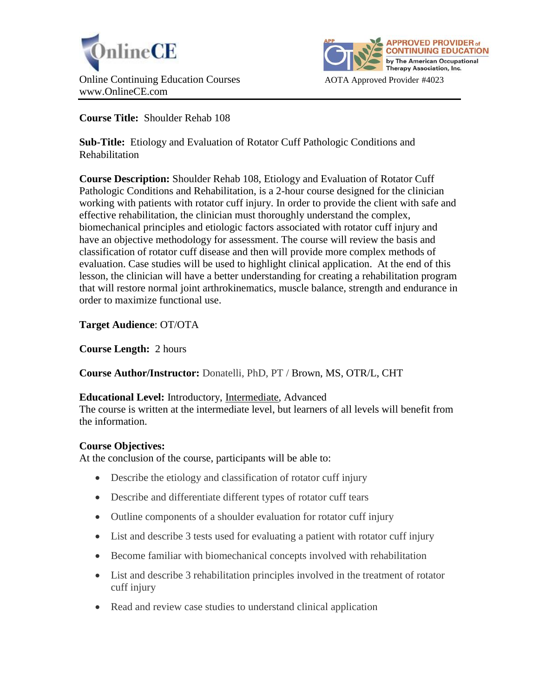



**Course Title:** Shoulder Rehab 108

**Sub-Title:** Etiology and Evaluation of Rotator Cuff Pathologic Conditions and Rehabilitation

**Course Description:** Shoulder Rehab 108, Etiology and Evaluation of Rotator Cuff Pathologic Conditions and Rehabilitation, is a 2-hour course designed for the clinician working with patients with rotator cuff injury. In order to provide the client with safe and effective rehabilitation, the clinician must thoroughly understand the complex, biomechanical principles and etiologic factors associated with rotator cuff injury and have an objective methodology for assessment. The course will review the basis and classification of rotator cuff disease and then will provide more complex methods of evaluation. Case studies will be used to highlight clinical application. At the end of this lesson, the clinician will have a better understanding for creating a rehabilitation program that will restore normal joint arthrokinematics, muscle balance, strength and endurance in order to maximize functional use.

**Target Audience**: OT/OTA

**Course Length:** 2 hours

**Course Author/Instructor:** Donatelli, PhD, PT / Brown, MS, OTR/L, CHT

#### **Educational Level:** Introductory, Intermediate, Advanced

The course is written at the intermediate level, but learners of all levels will benefit from the information.

# **Course Objectives:**

At the conclusion of the course, participants will be able to:

- Describe the etiology and classification of rotator cuff injury
- Describe and differentiate different types of rotator cuff tears
- Outline components of a shoulder evaluation for rotator cuff injury
- List and describe 3 tests used for evaluating a patient with rotator cuff injury
- Become familiar with biomechanical concepts involved with rehabilitation
- List and describe 3 rehabilitation principles involved in the treatment of rotator cuff injury
- Read and review case studies to understand clinical application